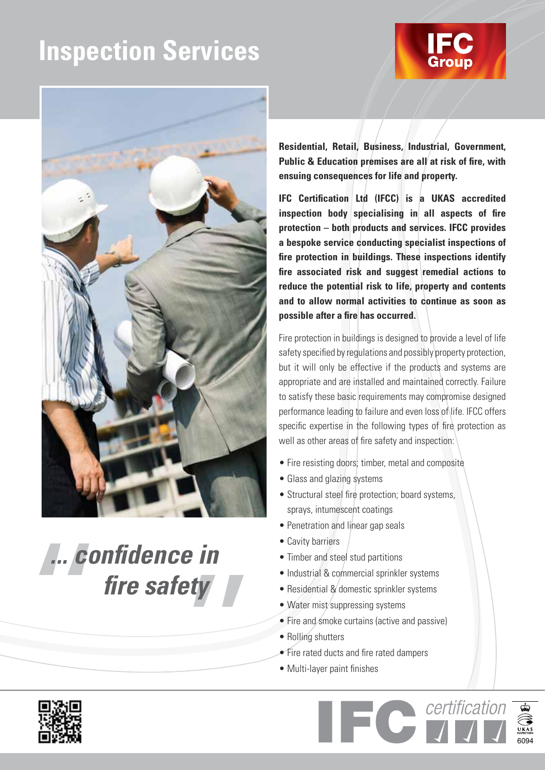# **Inspection Services**





*... confidence in fire safety*

**Residential, Retail, Business, Industrial, Government, Public & Education premises are all at risk of fire, with ensuing consequences for life and property.**

**IFC Certification Ltd (IFCC) is a UKAS accredited inspection body specialising in all aspects of fire protection – both products and services. IFCC provides a bespoke service conducting specialist inspections of fire protection in buildings. These inspections identify fire associated risk and suggest remedial actions to reduce the potential risk to life, property and contents and to allow normal activities to continue as soon as possible after a fire has occurred.**

Fire protection in buildings is designed to provide a level of life safety specified by regulations and possibly property protection, but it will only be effective if the products and systems are appropriate and are installed and maintained correctly. Failure to satisfy these basic requirements may compromise designed performance leading to failure and even loss of life. IFCC offers specific expertise in the following types of fire protection as well as other areas of fire safety and inspection:

- Fire resisting doors; timber, metal and composite
- Glass and glazing systems
- Structural steel fire protection; board systems, sprays, intumescent coatings
- Penetration and linear gap seals
- Cavity barriers
- Timber and steel stud partitions
- Industrial & commercial sprinkler systems
- Residential & domestic sprinkler systems
- Water mist/suppressing systems
- Fire and smoke curtains (active and passive)

6094

certification

- Rolling shutters
- Fire rated ducts and fire rated dampers
- Multi-layer paint finishes